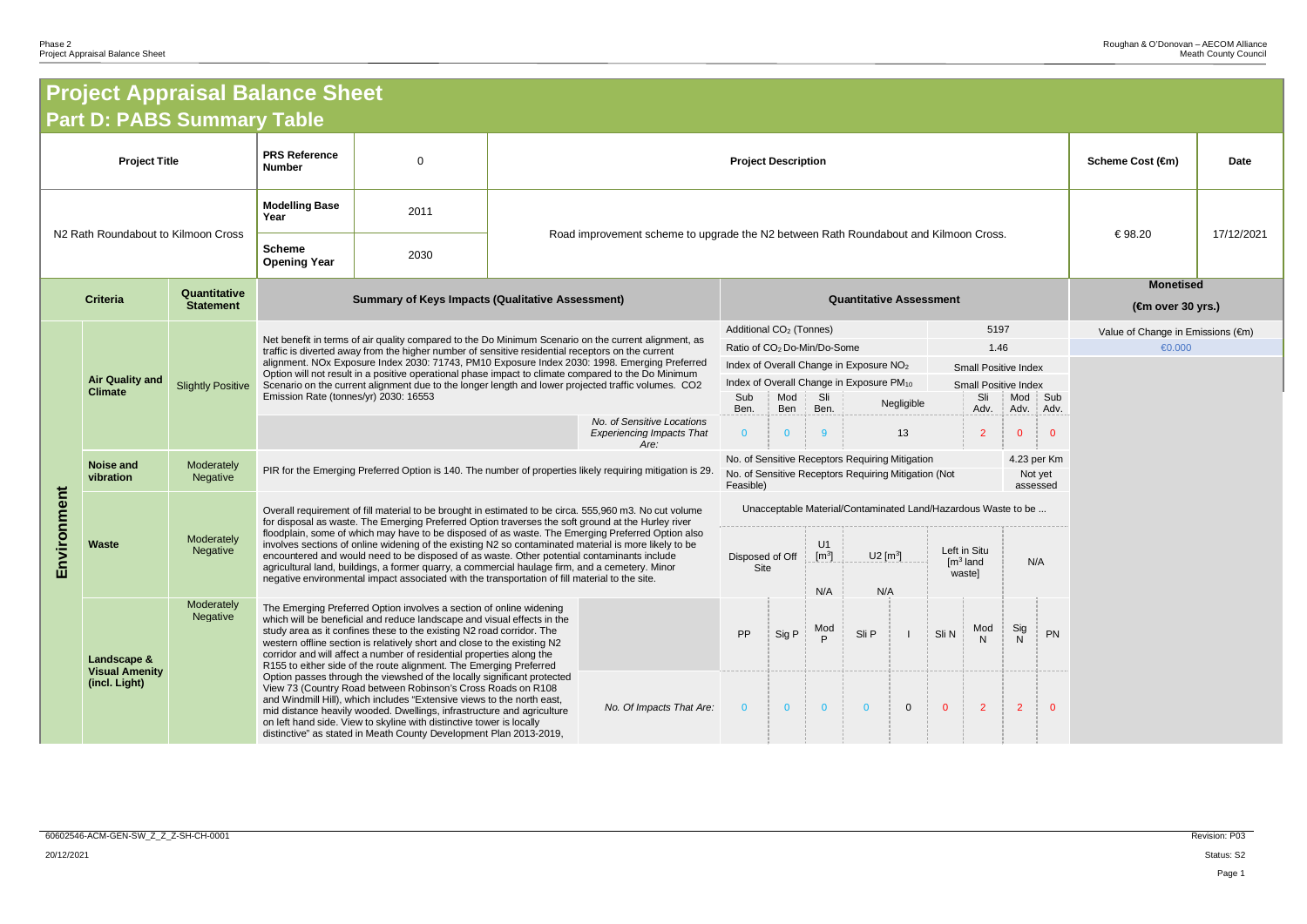## **Project Appraisal Balance Sheet Part D: PABS Summary Table**

| <b>Project Appraisal Balance Sheet</b>              |                                                       |                                      |                                                                                                        |                                                                                                                                                                                                                                                                                                                                                                                                                                                    |                            |                                                                                                                                                                                                         |                                |                                                                                                                                                                           |                                                 |                   |                        |                                                |                         |                                         |                |                                   |  |  |  |
|-----------------------------------------------------|-------------------------------------------------------|--------------------------------------|--------------------------------------------------------------------------------------------------------|----------------------------------------------------------------------------------------------------------------------------------------------------------------------------------------------------------------------------------------------------------------------------------------------------------------------------------------------------------------------------------------------------------------------------------------------------|----------------------------|---------------------------------------------------------------------------------------------------------------------------------------------------------------------------------------------------------|--------------------------------|---------------------------------------------------------------------------------------------------------------------------------------------------------------------------|-------------------------------------------------|-------------------|------------------------|------------------------------------------------|-------------------------|-----------------------------------------|----------------|-----------------------------------|--|--|--|
| <b>Part D: PABS Summary Table</b>                   |                                                       |                                      |                                                                                                        |                                                                                                                                                                                                                                                                                                                                                                                                                                                    |                            |                                                                                                                                                                                                         |                                |                                                                                                                                                                           |                                                 |                   |                        |                                                |                         |                                         |                |                                   |  |  |  |
| <b>Project Title</b>                                |                                                       |                                      | <b>PRS Reference</b><br><b>Number</b>                                                                  | $\Omega$                                                                                                                                                                                                                                                                                                                                                                                                                                           | <b>Project Description</b> |                                                                                                                                                                                                         |                                |                                                                                                                                                                           |                                                 |                   |                        | Scheme Cost (€m)                               | <b>Date</b>             |                                         |                |                                   |  |  |  |
|                                                     |                                                       |                                      | <b>Modelling Base</b><br>Year                                                                          | 2011                                                                                                                                                                                                                                                                                                                                                                                                                                               |                            | Road improvement scheme to upgrade the N2 between Rath Roundabout and Kilmoon Cross.                                                                                                                    |                                |                                                                                                                                                                           |                                                 |                   |                        |                                                | 17/12/2021<br>€98.20    |                                         |                |                                   |  |  |  |
| N2 Rath Roundabout to Kilmoon Cross                 |                                                       | <b>Scheme</b><br><b>Opening Year</b> | 2030                                                                                                   |                                                                                                                                                                                                                                                                                                                                                                                                                                                    |                            |                                                                                                                                                                                                         |                                |                                                                                                                                                                           |                                                 |                   |                        |                                                |                         |                                         |                |                                   |  |  |  |
| Quantitative<br><b>Criteria</b><br><b>Statement</b> |                                                       |                                      |                                                                                                        | <b>Summary of Keys Impacts (Qualitative Assessment)</b>                                                                                                                                                                                                                                                                                                                                                                                            |                            |                                                                                                                                                                                                         | <b>Quantitative Assessment</b> |                                                                                                                                                                           |                                                 |                   |                        |                                                |                         | <b>Monetised</b><br>$(4m$ over 30 yrs.) |                |                                   |  |  |  |
|                                                     |                                                       |                                      |                                                                                                        | Net benefit in terms of air quality compared to the Do Minimum Scenario on the current alignment, as                                                                                                                                                                                                                                                                                                                                               |                            |                                                                                                                                                                                                         |                                | Additional CO <sub>2</sub> (Tonnes)                                                                                                                                       |                                                 |                   |                        |                                                | 5197                    |                                         |                | Value of Change in Emissions (€m) |  |  |  |
|                                                     | <b>Air Quality and</b>                                |                                      |                                                                                                        | traffic is diverted away from the higher number of sensitive residential receptors on the current<br>alignment. NOx Exposure Index 2030: 71743, PM10 Exposure Index 2030: 1998. Emerging Preferred                                                                                                                                                                                                                                                 |                            |                                                                                                                                                                                                         |                                |                                                                                                                                                                           | Ratio of CO <sub>2</sub> Do-Min/Do-Some<br>1.46 |                   |                        |                                                |                         |                                         |                | €0.000                            |  |  |  |
|                                                     |                                                       | <b>Slightly Positive</b>             |                                                                                                        | Option will not result in a positive operational phase impact to climate compared to the Do Minimum<br>Scenario on the current alignment due to the longer length and lower projected traffic volumes. CO2                                                                                                                                                                                                                                         |                            |                                                                                                                                                                                                         |                                | Index of Overall Change in Exposure NO <sub>2</sub><br><b>Small Positive Index</b><br>Index of Overall Change in Exposure PM <sub>10</sub><br><b>Small Positive Index</b> |                                                 |                   |                        |                                                |                         |                                         |                |                                   |  |  |  |
|                                                     | <b>Climate</b>                                        |                                      | Emission Rate (tonnes/yr) 2030: 16553                                                                  |                                                                                                                                                                                                                                                                                                                                                                                                                                                    |                            |                                                                                                                                                                                                         |                                | Mod<br>Ben                                                                                                                                                                | Sli<br>Ben.                                     | Sli<br>Negligible |                        | Adv.                                           | Mod Sub<br>Adv.<br>Adv. |                                         |                |                                   |  |  |  |
|                                                     |                                                       |                                      |                                                                                                        |                                                                                                                                                                                                                                                                                                                                                                                                                                                    |                            | No. of Sensitive Locations<br><b>Experiencing Impacts That</b><br>Are:                                                                                                                                  | Ben.<br>$\overline{0}$         | $\Omega$                                                                                                                                                                  | 9                                               |                   | 13                     |                                                | $\overline{2}$          | $\mathbf{0}$                            | $\Omega$       |                                   |  |  |  |
|                                                     | <b>Noise and</b><br>vibration                         | Moderately<br>Negative               |                                                                                                        | PIR for the Emerging Preferred Option is 140. The number of properties likely requiring mitigation is 29.                                                                                                                                                                                                                                                                                                                                          |                            | No. of Sensitive Receptors Requiring Mitigation<br>4.23 per Km<br>No. of Sensitive Receptors Requiring Mitigation (Not<br>Not yet<br>Feasible)<br>assessed                                              |                                |                                                                                                                                                                           |                                                 |                   |                        |                                                |                         |                                         |                |                                   |  |  |  |
| nmen                                                |                                                       |                                      | Overall requirement of fill material to be brought in estimated to be circa. 555,960 m3. No cut volume |                                                                                                                                                                                                                                                                                                                                                                                                                                                    |                            |                                                                                                                                                                                                         |                                | Unacceptable Material/Contaminated Land/Hazardous Waste to be                                                                                                             |                                                 |                   |                        |                                                |                         |                                         |                |                                   |  |  |  |
|                                                     |                                                       | Moderately                           |                                                                                                        |                                                                                                                                                                                                                                                                                                                                                                                                                                                    |                            | for disposal as waste. The Emerging Preferred Option traverses the soft ground at the Hurley river<br>floodplain, some of which may have to be disposed of as waste. The Emerging Preferred Option also |                                |                                                                                                                                                                           |                                                 |                   |                        |                                                |                         |                                         |                |                                   |  |  |  |
| Viro<br>ш                                           | <b>Waste</b>                                          | Negative                             |                                                                                                        | involves sections of online widening of the existing N2 so contaminated material is more likely to be<br>encountered and would need to be disposed of as waste. Other potential contaminants include<br>agricultural land, buildings, a former quarry, a commercial haulage firm, and a cemetery. Minor                                                                                                                                            |                            |                                                                                                                                                                                                         | Disposed of Off<br>Site        |                                                                                                                                                                           | U1<br>[m <sup>3</sup> ]                         |                   | $U2$ [m <sup>3</sup> ] | Left in Situ<br>$\mathsf{Im}^3$ land<br>waste] |                         | N/A                                     |                |                                   |  |  |  |
|                                                     |                                                       |                                      | negative environmental impact associated with the transportation of fill material to the site.         |                                                                                                                                                                                                                                                                                                                                                                                                                                                    |                            |                                                                                                                                                                                                         |                                |                                                                                                                                                                           | N/A                                             |                   | N/A                    |                                                |                         |                                         |                |                                   |  |  |  |
|                                                     | Landscape &<br><b>Visual Amenity</b><br>(incl. Light) | Moderately<br>Negative               |                                                                                                        | The Emerging Preferred Option involves a section of online widening<br>which will be beneficial and reduce landscape and visual effects in the<br>study area as it confines these to the existing N2 road corridor. The<br>western offline section is relatively short and close to the existing N2<br>corridor and will affect a number of residential properties along the<br>R155 to either side of the route alignment. The Emerging Preferred |                            |                                                                                                                                                                                                         | PP                             | Sig P                                                                                                                                                                     | Mod<br>P                                        | Sli P             |                        | Sli N                                          | Mod                     | Sig<br>$\mathsf{N}$                     | PN             |                                   |  |  |  |
|                                                     |                                                       |                                      |                                                                                                        | Option passes through the viewshed of the locally significant protected<br>View 73 (Country Road between Robinson's Cross Roads on R108<br>and Windmill Hill), which includes "Extensive views to the north east,<br>mid distance heavily wooded. Dwellings, infrastructure and agriculture<br>on left hand side. View to skyline with distinctive tower is locally<br>distinctive" as stated in Meath County Development Plan 2013-2019,          |                            | No. Of Impacts That Are:                                                                                                                                                                                | $\overline{0}$                 | $\overline{0}$                                                                                                                                                            | $\overline{0}$                                  | $\overline{0}$    | $\overline{0}$         | $\overline{0}$                                 | $\overline{2}$          | 2 <sup>1</sup>                          | $\overline{0}$ |                                   |  |  |  |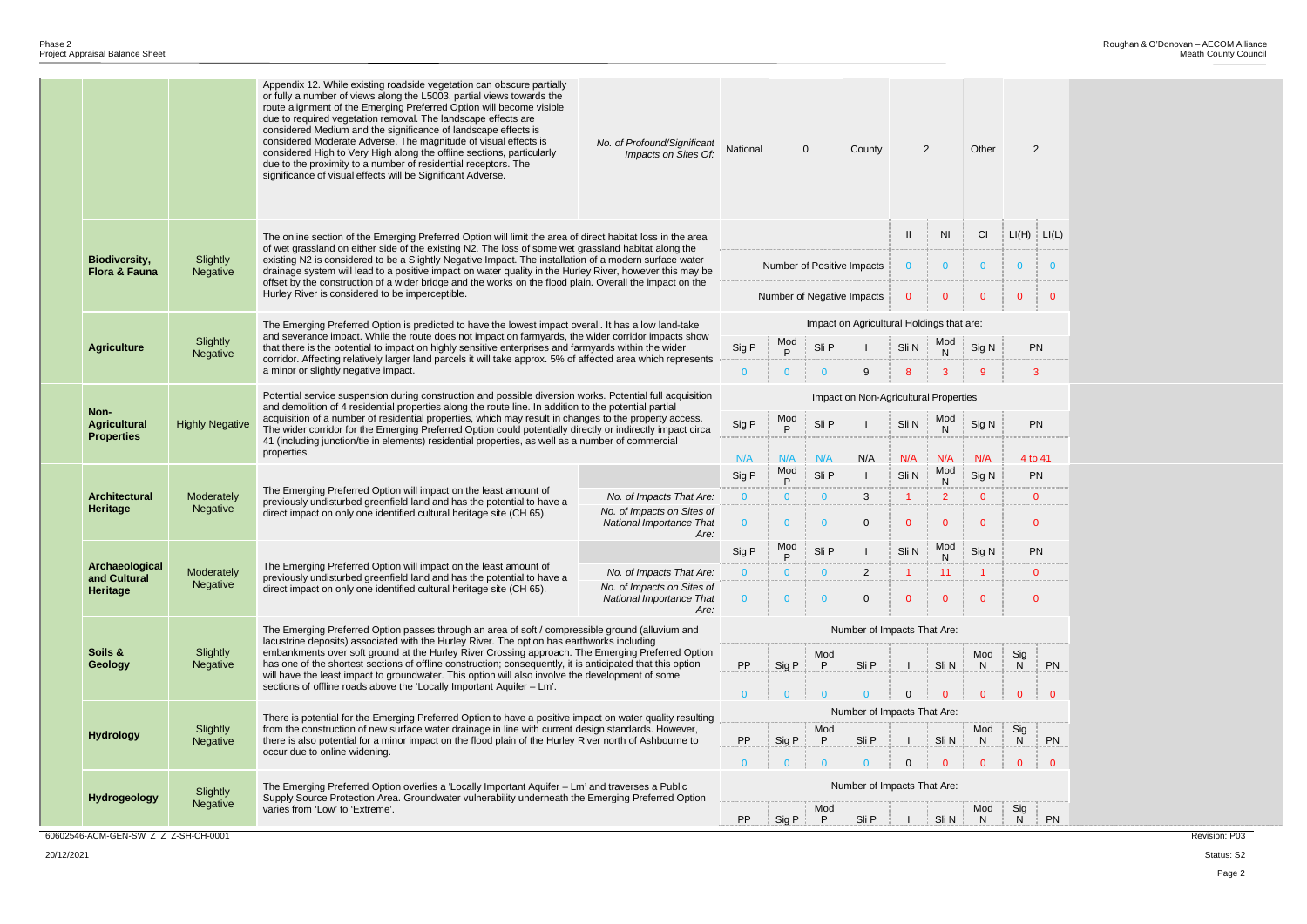Page 2



|  |                                                  |                        | Appendix 12. While existing roadside vegetation can obscure partially<br>or fully a number of views along the L5003, partial views towards the<br>route alignment of the Emerging Preferred Option will become visible<br>due to required vegetation removal. The landscape effects are<br>considered Medium and the significance of landscape effects is<br>considered Moderate Adverse. The magnitude of visual effects is<br>considered High to Very High along the offline sections, particularly<br>due to the proximity to a number of residential receptors. The<br>significance of visual effects will be Significant Adverse. | No. of Profound/Significant<br>Impacts on Sites Of:            | National                   |                | $\mathbf 0$                 | County                                    |                     | $\overline{2}$      | Other                 | 2              |  |  |
|--|--------------------------------------------------|------------------------|----------------------------------------------------------------------------------------------------------------------------------------------------------------------------------------------------------------------------------------------------------------------------------------------------------------------------------------------------------------------------------------------------------------------------------------------------------------------------------------------------------------------------------------------------------------------------------------------------------------------------------------|----------------------------------------------------------------|----------------------------|----------------|-----------------------------|-------------------------------------------|---------------------|---------------------|-----------------------|----------------|--|--|
|  |                                                  |                        | The online section of the Emerging Preferred Option will limit the area of direct habitat loss in the area                                                                                                                                                                                                                                                                                                                                                                                                                                                                                                                             |                                                                |                            |                |                             |                                           | <b>NI</b>           | CI                  | $LI(H)$ $LI($         |                |  |  |
|  | <b>Biodiversity,</b><br><b>Flora &amp; Fauna</b> | Slightly<br>Negative   | of wet grassland on either side of the existing N2. The loss of some wet grassland habitat along the<br>existing N2 is considered to be a Slightly Negative Impact. The installation of a modern surface water<br>drainage system will lead to a positive impact on water quality in the Hurley River, however this may be                                                                                                                                                                                                                                                                                                             | Number of Positive Impacts                                     |                            |                |                             | $\mathbf{0}$                              | $\mathbf{0}$        | $\overline{0}$      | $\mathbf{0}$          |                |  |  |
|  |                                                  |                        | offset by the construction of a wider bridge and the works on the flood plain. Overall the impact on the<br>Hurley River is considered to be imperceptible.                                                                                                                                                                                                                                                                                                                                                                                                                                                                            |                                                                | Number of Negative Impacts |                |                             |                                           | $\mathbf 0$         | $\mathbf{0}$        | $\mathbf{0}$          | $\mathbf 0$    |  |  |
|  |                                                  |                        | The Emerging Preferred Option is predicted to have the lowest impact overall. It has a low land-take                                                                                                                                                                                                                                                                                                                                                                                                                                                                                                                                   |                                                                |                            |                |                             | Impact on Agricultural Holdings that are: |                     |                     |                       |                |  |  |
|  | <b>Agriculture</b>                               | Slightly<br>Negative   | and severance impact. While the route does not impact on farmyards, the wider corridor impacts show<br>that there is the potential to impact on highly sensitive enterprises and farmyards within the wider                                                                                                                                                                                                                                                                                                                                                                                                                            | Sig P                                                          | Mod<br>P                   | Sli P          |                             | Sli N                                     | Mod<br>N            | Sig N               | PN                    |                |  |  |
|  |                                                  |                        | corridor. Affecting relatively larger land parcels it will take approx. 5% of affected area which represents<br>a minor or slightly negative impact.                                                                                                                                                                                                                                                                                                                                                                                                                                                                                   | $\mathbf{0}$                                                   | $\mathbf{0}$               | $\mathbf{0}$   | 9                           | 8                                         | 3                   | 9                   | 3                     |                |  |  |
|  | Non-<br><b>Agricultural</b><br><b>Properties</b> |                        | Potential service suspension during construction and possible diversion works. Potential full acquisition                                                                                                                                                                                                                                                                                                                                                                                                                                                                                                                              | Impact on Non-Agricultural Properties                          |                            |                |                             |                                           |                     |                     |                       |                |  |  |
|  |                                                  | <b>Highly Negative</b> | and demolition of 4 residential properties along the route line. In addition to the potential partial<br>acquisition of a number of residential properties, which may result in changes to the property access.<br>The wider corridor for the Emerging Preferred Option could potentially directly or indirectly impact circa                                                                                                                                                                                                                                                                                                          | Sig P                                                          | Mod<br>P                   | Sli P          |                             | Sli N                                     | Mod<br>$\mathsf{N}$ | Sig N               | PN                    |                |  |  |
|  |                                                  |                        | 41 (including junction/tie in elements) residential properties, as well as a number of commercial<br>properties.                                                                                                                                                                                                                                                                                                                                                                                                                                                                                                                       |                                                                | N/A                        | N/A            | N/A                         | N/A                                       | N/A                 | N/A                 | N/A                   | 4 to 41        |  |  |
|  | <b>Architectural</b><br>Heritage                 |                        |                                                                                                                                                                                                                                                                                                                                                                                                                                                                                                                                                                                                                                        |                                                                | Sig P                      | Mod<br>P       | Sli P                       |                                           | Sli N               | Mod<br>$\mathsf{N}$ | Sig N                 | <b>PN</b>      |  |  |
|  |                                                  | Moderately             | The Emerging Preferred Option will impact on the least amount of<br>previously undisturbed greenfield land and has the potential to have a<br>direct impact on only one identified cultural heritage site (CH 65).                                                                                                                                                                                                                                                                                                                                                                                                                     | No. of Impacts That Are:                                       | $\mathbf{0}$               | $\overline{0}$ | $\mathbf{0}$                | 3                                         | $\overline{1}$      | $\overline{2}$      | $\mathbf{0}$          | $\mathbf{0}$   |  |  |
|  |                                                  | Negative               |                                                                                                                                                                                                                                                                                                                                                                                                                                                                                                                                                                                                                                        | No. of Impacts on Sites of<br>National Importance That<br>Are: | $\Omega$                   | $\mathbf{0}$   | $\overline{0}$              | $\mathbf 0$                               | -0                  | $\mathbf{0}$        | $\mathbf{0}$          | $\overline{0}$ |  |  |
|  |                                                  |                        |                                                                                                                                                                                                                                                                                                                                                                                                                                                                                                                                                                                                                                        |                                                                | Sig P                      | Mod<br>P       | Sli P                       |                                           | Sli N               | Mod<br>N            | Sig N                 | PN             |  |  |
|  | Archaeological<br>and Cultural                   | Moderately             | The Emerging Preferred Option will impact on the least amount of<br>No. of Impacts That Are:<br>previously undisturbed greenfield land and has the potential to have a<br>No. of Impacts on Sites of<br>direct impact on only one identified cultural heritage site (CH 65).<br>National Importance That<br>Are:                                                                                                                                                                                                                                                                                                                       |                                                                | $\Omega$                   | $\mathbf{0}$   | $\mathbf{0}$                | $\overline{2}$                            |                     | 11                  |                       | $\overline{0}$ |  |  |
|  | Heritage                                         | Negative               |                                                                                                                                                                                                                                                                                                                                                                                                                                                                                                                                                                                                                                        | $\mathbf{0}$                                                   | $\bf{0}$                   | $\mathbf{0}$   | 0                           | $\mathbf 0$                               | $\mathbf{0}$        | $\mathbf{0}$        | $\mathbf{0}$          |                |  |  |
|  |                                                  |                        | The Emerging Preferred Option passes through an area of soft / compressible ground (alluvium and                                                                                                                                                                                                                                                                                                                                                                                                                                                                                                                                       | Number of Impacts That Are:                                    |                            |                |                             |                                           |                     |                     |                       |                |  |  |
|  | Soils &<br><b>Geology</b>                        | Slightly<br>Negative   | lacustrine deposits) associated with the Hurley River. The option has earthworks including<br>embankments over soft ground at the Hurley River Crossing approach. The Emerging Preferred Option<br>has one of the shortest sections of offline construction; consequently, it is anticipated that this option<br>will have the least impact to groundwater. This option will also involve the development of some                                                                                                                                                                                                                      | PP                                                             | Sig P                      | Mod<br>P       | Sli P                       |                                           | Sli N               | Mod<br>N            | Sig<br>N <sub>1</sub> | PI             |  |  |
|  |                                                  |                        | sections of offline roads above the 'Locally Important Aquifer - Lm'.                                                                                                                                                                                                                                                                                                                                                                                                                                                                                                                                                                  | $\overline{0}$                                                 | $\Omega$                   | $\Omega$       | $\mathbf{0}$                | $\Omega$                                  | $\mathbf{0}$        | $\Omega$            | $\Omega$              |                |  |  |
|  |                                                  |                        | There is potential for the Emerging Preferred Option to have a positive impact on water quality resulting                                                                                                                                                                                                                                                                                                                                                                                                                                                                                                                              |                                                                |                            |                | Number of Impacts That Are: |                                           |                     |                     |                       |                |  |  |
|  | <b>Hydrology</b>                                 | Slightly<br>Negative   | from the construction of new surface water drainage in line with current design standards. However,<br>there is also potential for a minor impact on the flood plain of the Hurley River north of Ashbourne to<br>occur due to online widening.                                                                                                                                                                                                                                                                                                                                                                                        | PP                                                             | Sig P                      | Mod<br>P       | Sli P                       |                                           | Sli N               | Mod<br>N            | Sig<br>N              | PI             |  |  |
|  |                                                  |                        |                                                                                                                                                                                                                                                                                                                                                                                                                                                                                                                                                                                                                                        | $\Omega$                                                       |                            |                |                             |                                           |                     | $\Omega$            | $\Omega$              |                |  |  |
|  | Hydrogeology                                     | Slightly<br>Negative   | The Emerging Preferred Option overlies a 'Locally Important Aquifer - Lm' and traverses a Public<br>Supply Source Protection Area. Groundwater vulnerability underneath the Emerging Preferred Option                                                                                                                                                                                                                                                                                                                                                                                                                                  |                                                                |                            |                |                             | Number of Impacts That Are:               |                     |                     |                       |                |  |  |
|  |                                                  |                        | varies from 'Low' to 'Extreme'.                                                                                                                                                                                                                                                                                                                                                                                                                                                                                                                                                                                                        | PP                                                             | Sig P                      | Mod<br>P       | Sli P                       |                                           | Sli N               | Mod<br>N            | Sig<br>N              | PI             |  |  |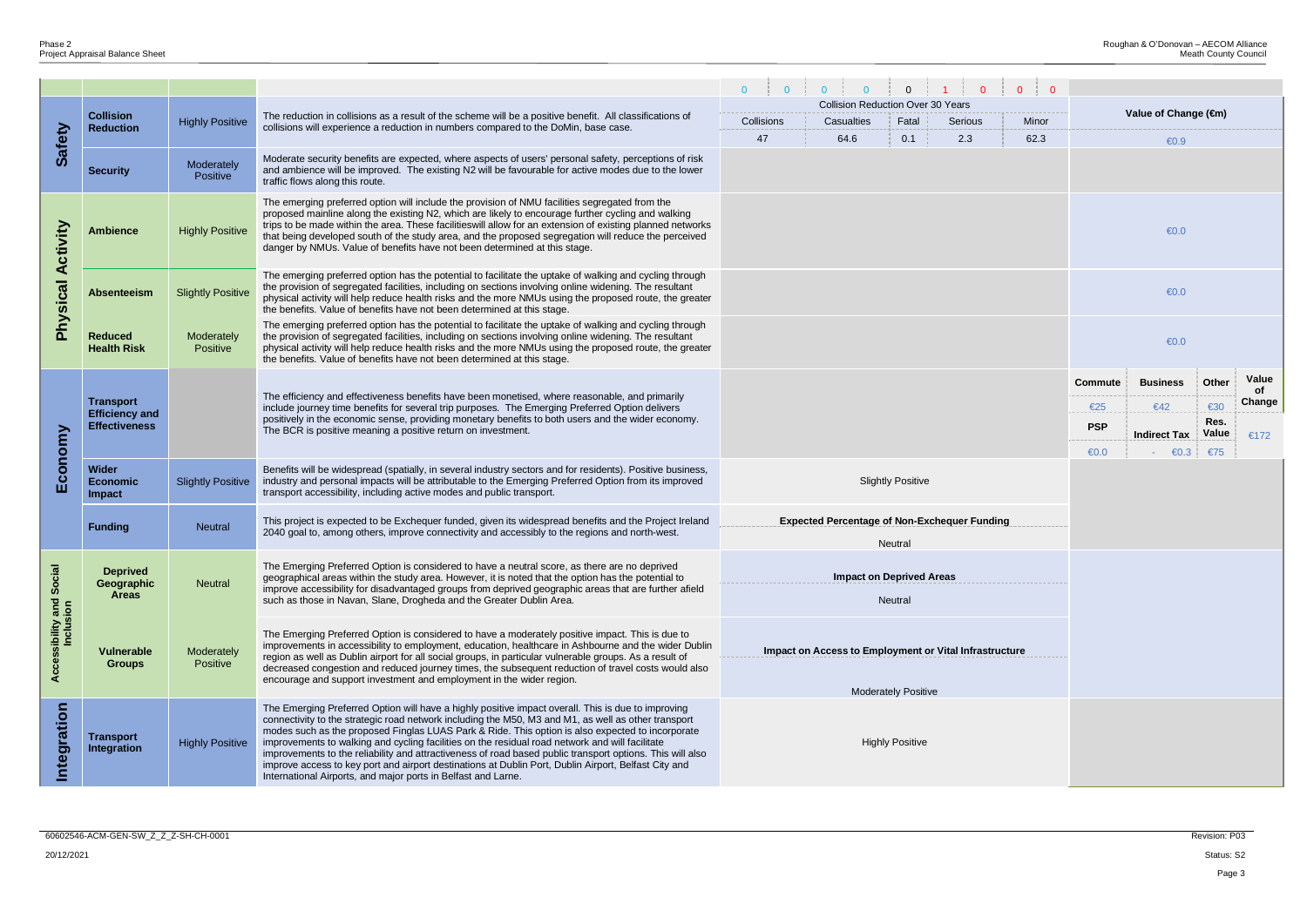|                                       |                                               |                                                                                                                                                                                                                                                                                                                                                                                                                                                                                                                                                                                                                      |                                                                                                                                                                                                                                                                                                                                                                                                                                                                                                                                                                                                  |            |                                                     | $\mathbf{0}$           |  |  |                |                                       |                |              |  |  |  |
|---------------------------------------|-----------------------------------------------|----------------------------------------------------------------------------------------------------------------------------------------------------------------------------------------------------------------------------------------------------------------------------------------------------------------------------------------------------------------------------------------------------------------------------------------------------------------------------------------------------------------------------------------------------------------------------------------------------------------------|--------------------------------------------------------------------------------------------------------------------------------------------------------------------------------------------------------------------------------------------------------------------------------------------------------------------------------------------------------------------------------------------------------------------------------------------------------------------------------------------------------------------------------------------------------------------------------------------------|------------|-----------------------------------------------------|------------------------|--|--|----------------|---------------------------------------|----------------|--------------|--|--|--|
|                                       |                                               |                                                                                                                                                                                                                                                                                                                                                                                                                                                                                                                                                                                                                      |                                                                                                                                                                                                                                                                                                                                                                                                                                                                                                                                                                                                  |            | <b>Collision Reduction Over 30 Years</b>            |                        |  |  |                | Value of Change (€m)                  |                |              |  |  |  |
|                                       | <b>Collision</b><br><b>Reduction</b>          | <b>Highly Positive</b>                                                                                                                                                                                                                                                                                                                                                                                                                                                                                                                                                                                               | The reduction in collisions as a result of the scheme will be a positive benefit. All classifications of<br>collisions will experience a reduction in numbers compared to the DoMin, base case.                                                                                                                                                                                                                                                                                                                                                                                                  | Collisions |                                                     |                        |  |  |                |                                       |                |              |  |  |  |
| Safety                                |                                               |                                                                                                                                                                                                                                                                                                                                                                                                                                                                                                                                                                                                                      | 2.3<br>47<br>64.6<br>0.1<br>62.3                                                                                                                                                                                                                                                                                                                                                                                                                                                                                                                                                                 |            |                                                     |                        |  |  |                |                                       | $\bigoplus$ .9 |              |  |  |  |
|                                       | <b>Security</b>                               | Moderately<br>Positive                                                                                                                                                                                                                                                                                                                                                                                                                                                                                                                                                                                               | Moderate security benefits are expected, where aspects of users' personal safety, perceptions of risk<br>and ambience will be improved. The existing N2 will be favourable for active modes due to the lower<br>traffic flows along this route.                                                                                                                                                                                                                                                                                                                                                  |            |                                                     |                        |  |  |                |                                       |                |              |  |  |  |
| Activity                              | <b>Ambience</b>                               | The emerging preferred option will include the provision of NMU facilities segregated from the<br>proposed mainline along the existing N2, which are likely to encourage further cycling and walking<br>trips to be made within the area. These facilities will allow for an extension of existing planned networks<br><b>Highly Positive</b><br>that being developed south of the study area, and the proposed segregation will reduce the perceived<br>danger by NMUs. Value of benefits have not been determined at this stage.                                                                                   |                                                                                                                                                                                                                                                                                                                                                                                                                                                                                                                                                                                                  |            |                                                     |                        |  |  |                |                                       | $\bigoplus$ .0 |              |  |  |  |
| Physical                              | <b>Absenteeism</b>                            | <b>Slightly Positive</b>                                                                                                                                                                                                                                                                                                                                                                                                                                                                                                                                                                                             | The emerging preferred option has the potential to facilitate the uptake of walking and cycling through<br>the provision of segregated facilities, including on sections involving online widening. The resultant<br>physical activity will help reduce health risks and the more NMUs using the proposed route, the greater<br>the benefits. Value of benefits have not been determined at this stage.                                                                                                                                                                                          |            |                                                     |                        |  |  |                |                                       | $\bigoplus$ .0 |              |  |  |  |
|                                       | <b>Reduced</b><br><b>Health Risk</b>          | Moderately<br>Positive                                                                                                                                                                                                                                                                                                                                                                                                                                                                                                                                                                                               | The emerging preferred option has the potential to facilitate the uptake of walking and cycling through<br>the provision of segregated facilities, including on sections involving online widening. The resultant<br>physical activity will help reduce health risks and the more NMUs using the proposed route, the greater<br>the benefits. Value of benefits have not been determined at this stage.                                                                                                                                                                                          |            |                                                     |                        |  |  |                | $\bigoplus$ .0                        |                |              |  |  |  |
|                                       |                                               |                                                                                                                                                                                                                                                                                                                                                                                                                                                                                                                                                                                                                      |                                                                                                                                                                                                                                                                                                                                                                                                                                                                                                                                                                                                  |            |                                                     |                        |  |  | <b>Commute</b> | <b>Business</b>                       | Other          | Value        |  |  |  |
| conomy<br>ш                           | <b>Transport</b>                              |                                                                                                                                                                                                                                                                                                                                                                                                                                                                                                                                                                                                                      | The efficiency and effectiveness benefits have been monetised, where reasonable, and primarily<br>include journey time benefits for several trip purposes. The Emerging Preferred Option delivers                                                                                                                                                                                                                                                                                                                                                                                                |            |                                                     |                        |  |  | €25            | €42                                   | €30            | of<br>Change |  |  |  |
|                                       | <b>Efficiency and</b><br><b>Effectiveness</b> |                                                                                                                                                                                                                                                                                                                                                                                                                                                                                                                                                                                                                      | positively in the economic sense, providing monetary benefits to both users and the wider economy.<br>The BCR is positive meaning a positive return on investment.                                                                                                                                                                                                                                                                                                                                                                                                                               |            |                                                     |                        |  |  | <b>PSP</b>     |                                       | Res.           |              |  |  |  |
|                                       |                                               |                                                                                                                                                                                                                                                                                                                                                                                                                                                                                                                                                                                                                      |                                                                                                                                                                                                                                                                                                                                                                                                                                                                                                                                                                                                  |            |                                                     |                        |  |  | $\bigoplus$ .0 | <b>Indirect Tax</b><br>$\epsilon 0.3$ | Value          | €172         |  |  |  |
|                                       | Wider<br><b>Economic</b><br><b>Impact</b>     | <b>Slightly Positive</b>                                                                                                                                                                                                                                                                                                                                                                                                                                                                                                                                                                                             | Benefits will be widespread (spatially, in several industry sectors and for residents). Positive business,<br>industry and personal impacts will be attributable to the Emerging Preferred Option from its improved<br><b>Slightly Positive</b><br>transport accessibility, including active modes and public transport.                                                                                                                                                                                                                                                                         |            |                                                     |                        |  |  |                |                                       | €75            |              |  |  |  |
|                                       |                                               |                                                                                                                                                                                                                                                                                                                                                                                                                                                                                                                                                                                                                      | This project is expected to be Exchequer funded, given its widespread benefits and the Project Ireland                                                                                                                                                                                                                                                                                                                                                                                                                                                                                           |            | <b>Expected Percentage of Non-Exchequer Funding</b> |                        |  |  |                |                                       |                |              |  |  |  |
|                                       | <b>Funding</b>                                | <b>Neutral</b>                                                                                                                                                                                                                                                                                                                                                                                                                                                                                                                                                                                                       | 2040 goal to, among others, improve connectivity and accessibly to the regions and north-west.                                                                                                                                                                                                                                                                                                                                                                                                                                                                                                   |            |                                                     | Neutral                |  |  |                |                                       |                |              |  |  |  |
|                                       | <b>Deprived</b><br>Geographic<br><b>Areas</b> | <b>Neutral</b>                                                                                                                                                                                                                                                                                                                                                                                                                                                                                                                                                                                                       | The Emerging Preferred Option is considered to have a neutral score, as there are no deprived<br>geographical areas within the study area. However, it is noted that the option has the potential to<br>improve accessibility for disadvantaged groups from deprived geographic areas that are further afield<br>such as those in Navan, Slane, Drogheda and the Greater Dublin Area.                                                                                                                                                                                                            |            | <b>Impact on Deprived Areas</b>                     | Neutral                |  |  |                |                                       |                |              |  |  |  |
| Accessibility and Social<br>Inclusion | <b>Vulnerable</b><br><b>Groups</b>            | The Emerging Preferred Option is considered to have a moderately positive impact. This is due to<br>improvements in accessibility to employment, education, healthcare in Ashbourne and the wider Dublin<br>Impact on Access to Employment or Vital Infrastructure<br>Moderately<br>region as well as Dublin airport for all social groups, in particular vulnerable groups. As a result of<br>Positive<br>decreased congestion and reduced journey times, the subsequent reduction of travel costs would also<br>encourage and support investment and employment in the wider region.<br><b>Moderately Positive</b> |                                                                                                                                                                                                                                                                                                                                                                                                                                                                                                                                                                                                  |            |                                                     |                        |  |  |                |                                       |                |              |  |  |  |
|                                       |                                               |                                                                                                                                                                                                                                                                                                                                                                                                                                                                                                                                                                                                                      | The Emerging Preferred Option will have a highly positive impact overall. This is due to improving                                                                                                                                                                                                                                                                                                                                                                                                                                                                                               |            |                                                     |                        |  |  |                |                                       |                |              |  |  |  |
| Integration                           | <b>Transport</b><br><b>Integration</b>        | <b>Highly Positive</b>                                                                                                                                                                                                                                                                                                                                                                                                                                                                                                                                                                                               | connectivity to the strategic road network including the M50, M3 and M1, as well as other transport<br>modes such as the proposed Finglas LUAS Park & Ride. This option is also expected to incorporate<br>improvements to walking and cycling facilities on the residual road network and will facilitate<br>improvements to the reliability and attractiveness of road based public transport options. This will also<br>improve access to key port and airport destinations at Dublin Port, Dublin Airport, Belfast City and<br>International Airports, and major ports in Belfast and Larne. |            |                                                     | <b>Highly Positive</b> |  |  |                |                                       |                |              |  |  |  |
|                                       |                                               |                                                                                                                                                                                                                                                                                                                                                                                                                                                                                                                                                                                                                      |                                                                                                                                                                                                                                                                                                                                                                                                                                                                                                                                                                                                  |            |                                                     |                        |  |  |                |                                       |                |              |  |  |  |